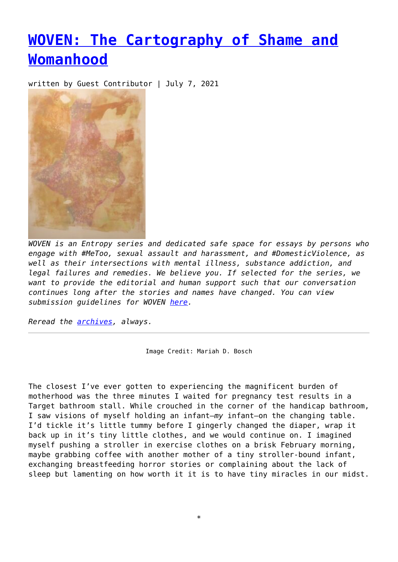## **[WOVEN: The Cartography of Shame and](https://entropymag.org/woven-the-cartography-of-shame-and-womanhood/) [Womanhood](https://entropymag.org/woven-the-cartography-of-shame-and-womanhood/)**

written by Guest Contributor | July 7, 2021



*WOVEN is an Entropy series and dedicated safe space for essays by persons who engage with #MeToo, sexual assault and harassment, and #DomesticViolence, as well as their intersections with mental illness, substance addiction, and legal failures and remedies. We believe you. If selected for the series, we want to provide the editorial and human support such that our conversation continues long after the stories and names have changed. You can view submission guidelines for WOVEN [here.](https://entropymag.org/woven-call-for-submissions/)*

*Reread the [archives](https://entropymag.org/tag/woven/), always.* 

Image Credit: Mariah D. Bosch

The closest I've ever gotten to experiencing the magnificent burden of motherhood was the three minutes I waited for pregnancy test results in a Target bathroom stall. While crouched in the corner of the handicap bathroom, I saw visions of myself holding an infant—*my* infant—on the changing table. I'd tickle it's little tummy before I gingerly changed the diaper, wrap it back up in it's tiny little clothes, and we would continue on. I imagined myself pushing a stroller in exercise clothes on a brisk February morning, maybe grabbing coffee with another mother of a tiny stroller-bound infant, exchanging breastfeeding horror stories or complaining about the lack of sleep but lamenting on how worth it it is to have tiny miracles in our midst.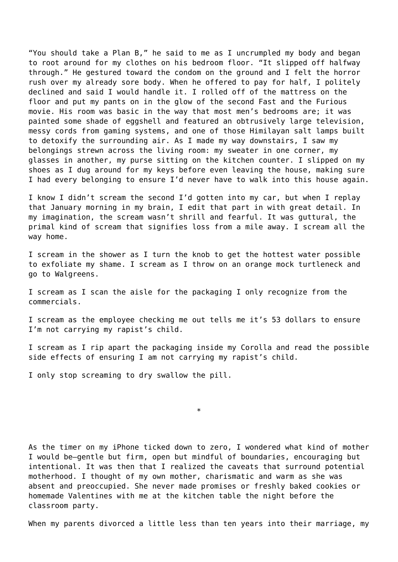"You should take a Plan B," he said to me as I uncrumpled my body and began to root around for my clothes on his bedroom floor. "It slipped off halfway through." He gestured toward the condom on the ground and I felt the horror rush over my already sore body. When he offered to pay for half, I politely declined and said I would handle it. I rolled off of the mattress on the floor and put my pants on in the glow of the second Fast and the Furious movie. His room was basic in the way that most men's bedrooms are; it was painted some shade of eggshell and featured an obtrusively large television, messy cords from gaming systems, and one of those Himilayan salt lamps built to detoxify the surrounding air. As I made my way downstairs, I saw my belongings strewn across the living room: my sweater in one corner, my glasses in another, my purse sitting on the kitchen counter. I slipped on my shoes as I dug around for my keys before even leaving the house, making sure I had every belonging to ensure I'd never have to walk into this house again.

I know I didn't scream the second I'd gotten into my car, but when I replay that January morning in my brain, I edit that part in with great detail. In my imagination, the scream wasn't shrill and fearful. It was guttural, the primal kind of scream that signifies loss from a mile away. I scream all the way home.

I scream in the shower as I turn the knob to get the hottest water possible to exfoliate my shame. I scream as I throw on an orange mock turtleneck and go to Walgreens.

I scream as I scan the aisle for the packaging I only recognize from the commercials.

I scream as the employee checking me out tells me it's 53 dollars to ensure I'm not carrying my rapist's child.

I scream as I rip apart the packaging inside my Corolla and read the possible side effects of ensuring I am not carrying my rapist's child.

\*

I only stop screaming to dry swallow the pill.

As the timer on my iPhone ticked down to zero, I wondered what kind of mother I would be—gentle but firm, open but mindful of boundaries, encouraging but intentional. It was then that I realized the caveats that surround potential motherhood. I thought of my own mother, charismatic and warm as she was absent and preoccupied. She never made promises or freshly baked cookies or homemade Valentines with me at the kitchen table the night before the classroom party.

When my parents divorced a little less than ten years into their marriage, my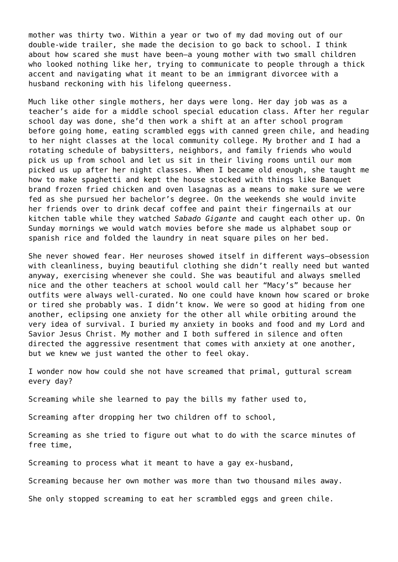mother was thirty two. Within a year or two of my dad moving out of our double-wide trailer, she made the decision to go back to school. I think about how scared she must have been—a young mother with two small children who looked nothing like her, trying to communicate to people through a thick accent and navigating what it meant to be an immigrant divorcee with a husband reckoning with his lifelong queerness.

Much like other single mothers, her days were long. Her day job was as a teacher's aide for a middle school special education class. After her regular school day was done, she'd then work a shift at an after school program before going home, eating scrambled eggs with canned green chile, and heading to her night classes at the local community college. My brother and I had a rotating schedule of babysitters, neighbors, and family friends who would pick us up from school and let us sit in their living rooms until our mom picked us up after her night classes. When I became old enough, she taught me how to make spaghetti and kept the house stocked with things like Banquet brand frozen fried chicken and oven lasagnas as a means to make sure we were fed as she pursued her bachelor's degree. On the weekends she would invite her friends over to drink decaf coffee and paint their fingernails at our kitchen table while they watched *Sabado Gigante* and caught each other up. On Sunday mornings we would watch movies before she made us alphabet soup or spanish rice and folded the laundry in neat square piles on her bed.

She never showed fear. Her neuroses showed itself in different ways—obsession with cleanliness, buying beautiful clothing she didn't really need but wanted anyway, exercising whenever she could. She was beautiful and always smelled nice and the other teachers at school would call her "Macy's" because her outfits were always well-curated. No one could have known how scared or broke or tired she probably was. I didn't know. We were so good at hiding from one another, eclipsing one anxiety for the other all while orbiting around the very idea of survival. I buried my anxiety in books and food and my Lord and Savior Jesus Christ. My mother and I both suffered in silence and often directed the aggressive resentment that comes with anxiety at one another, but we knew we just wanted the other to feel okay.

I wonder now how could she not have screamed that primal, guttural scream every day?

Screaming while she learned to pay the bills my father used to,

Screaming after dropping her two children off to school,

Screaming as she tried to figure out what to do with the scarce minutes of free time,

Screaming to process what it meant to have a gay ex-husband,

Screaming because her own mother was more than two thousand miles away.

She only stopped screaming to eat her scrambled eggs and green chile.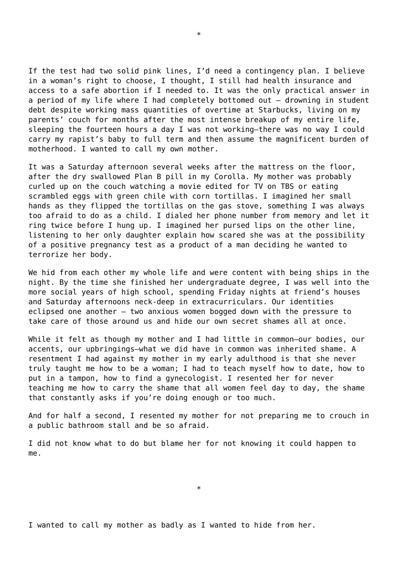If the test had two solid pink lines, I'd need a contingency plan. I believe in a woman's right to choose, I thought, I still had health insurance and access to a safe abortion if I needed to. It was the only practical answer in a period of my life where I had completely bottomed out – drowning in student debt despite working mass quantities of overtime at Starbucks, living on my parents' couch for months after the most intense breakup of my entire life, sleeping the fourteen hours a day I was not working—there was no way I could carry my rapist's baby to full term and then assume the magnificent burden of motherhood. I wanted to call my own mother.

\*

It was a Saturday afternoon several weeks after the mattress on the floor, after the dry swallowed Plan B pill in my Corolla. My mother was probably curled up on the couch watching a movie edited for TV on TBS or eating scrambled eggs with green chile with corn tortillas. I imagined her small hands as they flipped the tortillas on the gas stove, something I was always too afraid to do as a child. I dialed her phone number from memory and let it ring twice before I hung up. I imagined her pursed lips on the other line, listening to her only daughter explain how scared she was at the possibility of a positive pregnancy test as a product of a man deciding he wanted to terrorize her body.

We hid from each other my whole life and were content with being ships in the night. By the time she finished her undergraduate degree, I was well into the more social years of high school, spending Friday nights at friend's houses and Saturday afternoons neck-deep in extracurriculars. Our identities eclipsed one another – two anxious women bogged down with the pressure to take care of those around us and hide our own secret shames all at once.

While it felt as though my mother and I had little in common-our bodies, our accents, our upbringings—what we did have in common was inherited shame. A resentment I had against my mother in my early adulthood is that she never truly taught me how to be a woman; I had to teach myself how to date, how to put in a tampon, how to find a gynecologist. I resented her for never teaching me how to carry the shame that all women feel day to day, the shame that constantly asks if you're doing enough or too much.

And for half a second, I resented my mother for not preparing me to crouch in a public bathroom stall and be so afraid.

I did not know what to do but blame her for not knowing it could happen to me.

\*

I wanted to call my mother as badly as I wanted to hide from her.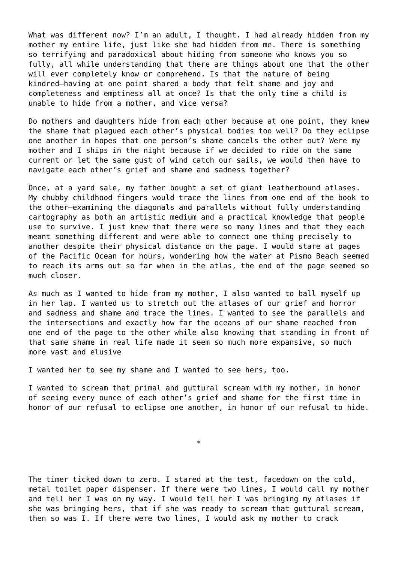What was different now? I'm an adult, I thought. I had already hidden from my mother my entire life, just like she had hidden from me. There is something so terrifying and paradoxical about hiding from someone who knows you so fully, all while understanding that there are things about one that the other will ever completely know or comprehend. Is that the nature of being kindred—having at one point shared a body that felt shame and joy and completeness and emptiness all at once? Is that the only time a child is unable to hide from a mother, and vice versa?

Do mothers and daughters hide from each other because at one point, they knew the shame that plagued each other's physical bodies too well? Do they eclipse one another in hopes that one person's shame cancels the other out? Were my mother and I ships in the night because if we decided to ride on the same current or let the same gust of wind catch our sails, we would then have to navigate each other's grief and shame and sadness together?

Once, at a yard sale, my father bought a set of giant leatherbound atlases. My chubby childhood fingers would trace the lines from one end of the book to the other—examining the diagonals and parallels without fully understanding cartography as both an artistic medium and a practical knowledge that people use to survive. I just knew that there were so many lines and that they each meant something different and were able to connect one thing precisely to another despite their physical distance on the page. I would stare at pages of the Pacific Ocean for hours, wondering how the water at Pismo Beach seemed to reach its arms out so far when in the atlas, the end of the page seemed so much closer.

As much as I wanted to hide from my mother, I also wanted to ball myself up in her lap. I wanted us to stretch out the atlases of our grief and horror and sadness and shame and trace the lines. I wanted to see the parallels and the intersections and exactly how far the oceans of our shame reached from one end of the page to the other while also knowing that standing in front of that same shame in real life made it seem so much more expansive, so much more vast and elusive

I wanted her to see my shame and I wanted to see hers, too.

I wanted to scream that primal and guttural scream with my mother, in honor of seeing every ounce of each other's grief and shame for the first time in honor of our refusal to eclipse one another, in honor of our refusal to hide.

\*

The timer ticked down to zero. I stared at the test, facedown on the cold, metal toilet paper dispenser. If there were two lines, I would call my mother and tell her I was on my way. I would tell her I was bringing my atlases if she was bringing hers, that if she was ready to scream that guttural scream, then so was I. If there were two lines, I would ask my mother to crack